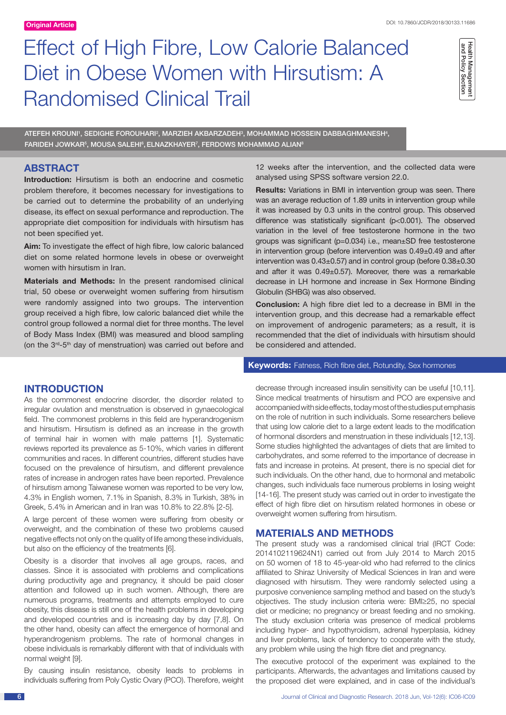# Effect of High Fibre, Low Calorie Balanced Diet in Obese Women with Hirsutism: A Randomised Clinical Trail

Health Management and Policy Section

ATEFEH KROUNI', SEDIGHE FOROUHARI?, MARZIEH AKBARZADEH<sup>3</sup>, MOHAMMAD HOSSEIN DABBAGHMANESH<del>'</del>,  ${\sf FARIDEH}$  JOWKAR $^{\rm 5}$ , MOUSA SALEHI $^{\rm 6}$ , ELNAZKHAYER $^{\rm 7}$ , FERDOWS MOHAMMAD ALIAN $^{\rm 6}$ 

# **ABSTRACT**

**Introduction:** Hirsutism is both an endocrine and cosmetic problem therefore, it becomes necessary for investigations to be carried out to determine the probability of an underlying disease, its effect on sexual performance and reproduction. The appropriate diet composition for individuals with hirsutism has not been specified yet.

**Aim:** To investigate the effect of high fibre, low caloric balanced diet on some related hormone levels in obese or overweight women with hirsutism in Iran.

**Materials and Methods:** In the present randomised clinical trial, 50 obese or overweight women suffering from hirsutism were randomly assigned into two groups. The intervention group received a high fibre, low caloric balanced diet while the control group followed a normal diet for three months. The level of Body Mass Index (BMI) was measured and blood sampling (on the 3rd-5th day of menstruation) was carried out before and

12 weeks after the intervention, and the collected data were analysed using SPSS software version 22.0.

**Results:** Variations in BMI in intervention group was seen. There was an average reduction of 1.89 units in intervention group while it was increased by 0.3 units in the control group. This observed difference was statistically significant (p<0.001). The observed variation in the level of free testosterone hormone in the two groups was significant (p=0.034) i.e., mean±SD free testosterone in intervention group (before intervention was 0.49±0.49 and after intervention was 0.43±0.57) and in control group (before 0.38±0.30 and after it was 0.49±0.57). Moreover, there was a remarkable decrease in LH hormone and increase in Sex Hormone Binding Globulin (SHBG) was also observed.

**Conclusion:** A high fibre diet led to a decrease in BMI in the intervention group, and this decrease had a remarkable effect on improvement of androgenic parameters; as a result, it is recommended that the diet of individuals with hirsutism should be considered and attended.

**Keywords:** Fatness, Rich fibre diet, Rotundity, Sex hormones

# **Introduction**

As the commonest endocrine disorder, the disorder related to irregular ovulation and menstruation is observed in gynaecological field. The commonest problems in this field are hyperandrogenism and hirsutism. Hirsutism is defined as an increase in the growth of terminal hair in women with male patterns [1]. Systematic reviews reported its prevalence as 5-10%, which varies in different communities and races. In different countries, different studies have focused on the prevalence of hirsutism, and different prevalence rates of increase in androgen rates have been reported. Prevalence of hirsutism among Taiwanese women was reported to be very low, 4.3% in English women, 7.1% in Spanish, 8.3% in Turkish, 38% in Greek, 5.4% in American and in Iran was 10.8% to 22.8% [2-5].

A large percent of these women were suffering from obesity or overweight, and the combination of these two problems caused negative effects not only on the quality of life among these individuals, but also on the efficiency of the treatments [6].

Obesity is a disorder that involves all age groups, races, and classes. Since it is associated with problems and complications during productivity age and pregnancy, it should be paid closer attention and followed up in such women. Although, there are numerous programs, treatments and attempts employed to cure obesity, this disease is still one of the health problems in developing and developed countries and is increasing day by day [7,8]. On the other hand, obesity can affect the emergence of hormonal and hyperandrogenism problems. The rate of hormonal changes in obese individuals is remarkably different with that of individuals with normal weight [9].

By causing insulin resistance, obesity leads to problems in individuals suffering from Poly Cystic Ovary (PCO). Therefore, weight decrease through increased insulin sensitivity can be useful [10,11]. Since medical treatments of hirsutism and PCO are expensive and accompanied with side effects, today most of the studies put emphasis on the role of nutrition in such individuals. Some researchers believe that using low calorie diet to a large extent leads to the modification of hormonal disorders and menstruation in these individuals [12,13]. Some studies highlighted the advantages of diets that are limited to carbohydrates, and some referred to the importance of decrease in fats and increase in proteins. At present, there is no special diet for such individuals. On the other hand, due to hormonal and metabolic changes, such individuals face numerous problems in losing weight [14-16]. The present study was carried out in order to investigate the effect of high fibre diet on hirsutism related hormones in obese or overweight women suffering from hirsutism.

## **Materials and Methods**

The present study was a randomised clinical trial (IRCT Code: 2014102119624N1) carried out from July 2014 to March 2015 on 50 women of 18 to 45-year-old who had referred to the clinics affiliated to Shiraz University of Medical Sciences in Iran and were diagnosed with hirsutism. They were randomly selected using a purposive convenience sampling method and based on the study's objectives. The study inclusion criteria were: BMI≥25, no special diet or medicine; no pregnancy or breast feeding and no smoking. The study exclusion criteria was presence of medical problems including hyper- and hypothyroidism, adrenal hyperplasia, kidney and liver problems, lack of tendency to cooperate with the study, any problem while using the high fibre diet and pregnancy.

The executive protocol of the experiment was explained to the participants. Afterwards, the advantages and limitations caused by the proposed diet were explained, and in case of the individual's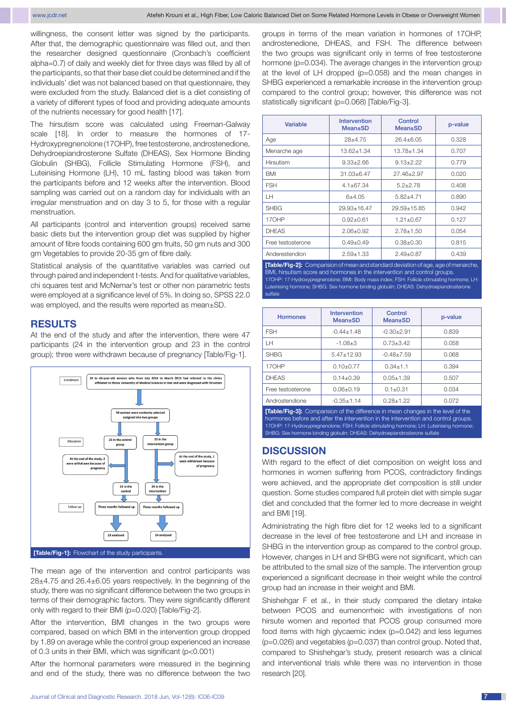willingness, the consent letter was signed by the participants. After that, the demographic questionnaire was filled out, and then the researcher designed questionnaire (Cronbach's coefficient alpha=0.7) of daily and weekly diet for three days was filled by all of the participants, so that their base diet could be determined and if the individuals' diet was not balanced based on that questionnaire, they were excluded from the study. Balanced diet is a diet consisting of a variety of different types of food and providing adequate amounts of the nutrients necessary for good health [17].

The hirsutism score was calculated using Freeman-Galway scale [18]. In order to measure the hormones of 17- Hydroxypregnenolone (17OHP), free testosterone, androstenedione, Dehydroepiandrosterone Sulfate (DHEAS), Sex Hormone Binding Globulin (SHBG), Follicle Stimulating Hormone (FSH), and Luteinising Hormone (LH), 10 mL fasting blood was taken from the participants before and 12 weeks after the intervention. Blood sampling was carried out on a random day for individuals with an irregular menstruation and on day 3 to 5, for those with a regular menstruation.

All participants (control and intervention groups) received same basic diets but the intervention group diet was supplied by higher amount of fibre foods containing 600 gm fruits, 50 gm nuts and 300 gm Vegetables to provide 20-35 gm of fibre daily.

Statistical analysis of the quantitative variables was carried out through paired and independent t-tests. And for qualitative variables, chi squares test and McNemar's test or other non parametric tests were employed at a significance level of 5%. In doing so, SPSS 22.0 was employed, and the results were reported as mean±SD.

### **Results**

At the end of the study and after the intervention, there were 47 participants (24 in the intervention group and 23 in the control group); three were withdrawn because of pregnancy [Table/Fig-1].



**[Table/Fig-1]:** Flowchart of the study participants.

The mean age of the intervention and control participants was 28±4.75 and 26.4±6.05 years respectively. In the beginning of the study, there was no significant difference between the two groups in terms of their demographic factors. They were significantly different only with regard to their BMI (p=0.020) [Table/Fig-2].

After the intervention, BMI changes in the two groups were compared, based on which BMI in the intervention group dropped by 1.89 on average while the control group experienced an increase of 0.3 units in their BMI, which was significant (p<0.001)

After the hormonal parameters were measured in the beginning and end of the study, there was no difference between the two groups in terms of the mean variation in hormones of 17OHP, androstenedione, DHEAS, and FSH. The difference between the two groups was significant only in terms of free testosterone hormone (p=0.034). The average changes in the intervention group at the level of LH dropped (p=0.058) and the mean changes in SHBG experienced a remarkable increase in the intervention group compared to the control group; however, this difference was not statistically significant (p=0.068) [Table/Fig-3].

| Variable          | Intervention<br>$Mean \pm SD$ | Control<br><b>Mean</b> ±SD | p-value |
|-------------------|-------------------------------|----------------------------|---------|
| Age               | $28+4.75$                     | $26.4 + 6.05$              | 0.328   |
| Menarche age      | 13.62+1.34                    | 13.78+1.34                 | 0.707   |
| Hirsutism         | $9.33 \pm 2.66$               | $9.13 + 2.22$              | 0.779   |
| <b>BMI</b>        | $31.03 + 6.47$                | 27.46±2.97                 | 0.020   |
| <b>FSH</b>        | $4.1 + 67.34$                 | $5.2 + 2.78$               | 0.408   |
| LН                | $6+4.05$                      | $5.82{\pm}4.71$            | 0.890   |
| <b>SHBG</b>       | 29.93+16.47                   | 29.59+15.85                | 0.942   |
| 170HP             | $0.92 + 0.61$                 | $1.21 + 0.67$              | 0.127   |
| <b>DHEAS</b>      | $2.06 + 0.92$                 | $2.78 \pm 1.50$            | 0.054   |
| Free testosterone | $0.49 + 0.49$                 | $0.38 + 0.30$              | 0.815   |
| Anderestendion    | $2.59 + 1.33$                 | $2.49 + 0.87$              | 0.439   |

**[Table/Fig-2]:** Comparision of mean and standard deviation of age, age of menarche, BMI, hirsutism score and hormones in the intervention and control groups. 17OHP: 17-Hydroxypregnenolone; BMI: Body mass index; FSH: Follicle stimulating hormone; LH: Luteinising hormone; SHBG: Sex hormone binding globulin; DHEAS: Dehydroepiandrosterone sulfate

| <b>Hormones</b>   | Intervention<br>Mean±SD | Control<br>Mean±SD | p-value |
|-------------------|-------------------------|--------------------|---------|
| <b>FSH</b>        | $-0.44 + 1.48$          | $-0.30 + 2.91$     | 0.839   |
| LН                | $-1.08 + 3$             | $0.73 + 3.42$      | 0.058   |
| <b>SHBG</b>       | $5.47 + 12.93$          | $-0.48 + 7.59$     | 0.068   |
| 17OHP             | $0.10 + 0.77$           | $0.34 + 1.1$       | 0.394   |
| <b>DHEAS</b>      | $0.14 + 0.39$           | $0.05 + 1.39$      | 0.507   |
| Free testosterone | $0.06 + 0.19$           | $0.1 + 0.31$       | 0.034   |
| Androstendione    | $-0.35 + 1.14$          | $0.28 + 1.22$      | 0.072   |

**[Table/Fig-3]:** Comparision of the difference in mean changes in the level of the hormones before and after the intervention in the intervention and control groups. 17OHP: 17-Hydroxypregnenolone; FSH: Follicle stimulating hormone; LH: Luteinising hormone; SHBG: Sex hormone binding globulin; DHEAS: Dehydroepiandrosterone sulfate

## **Discussion**

With regard to the effect of diet composition on weight loss and hormones in women suffering from PCOS, contradictory findings were achieved, and the appropriate diet composition is still under question. Some studies compared full protein diet with simple sugar diet and concluded that the former led to more decrease in weight and BMI [19].

Administrating the high fibre diet for 12 weeks led to a significant decrease in the level of free testosterone and LH and increase in SHBG in the intervention group as compared to the control group. However, changes in LH and SHBG were not significant, which can be attributed to the small size of the sample. The intervention group experienced a significant decrease in their weight while the control group had an increase in their weight and BMI.

Shishehgar F et al., in their study compared the dietary intake between PCOS and eumenorrheic with investigations of non hirsute women and reported that PCOS group consumed more food items with high glycaemic index (p=0.042) and less legumes (p=0.026) and vegetables (p=0.037) than control group. Noted that, compared to Shishehgar's study, present research was a clinical and interventional trials while there was no intervention in those research [20].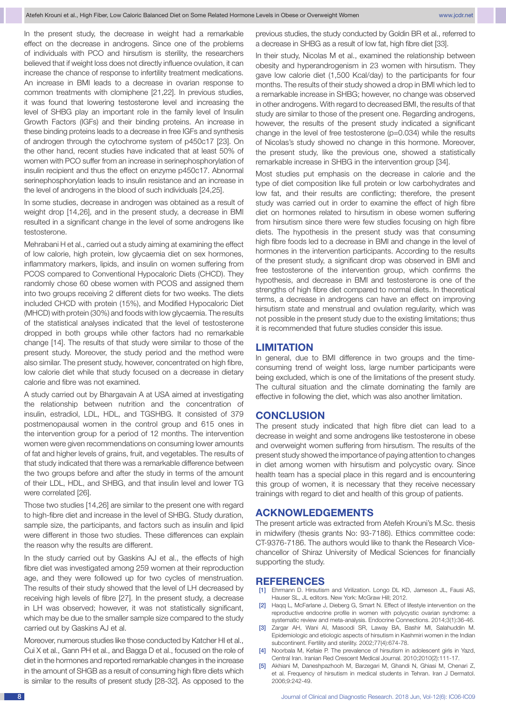In the present study, the decrease in weight had a remarkable effect on the decrease in androgens. Since one of the problems of individuals with PCO and hirsutism is sterility, the researchers believed that if weight loss does not directly influence ovulation, it can increase the chance of response to infertility treatment medications. An increase in BMI leads to a decrease in ovarian response to common treatments with clomiphene [21,22]. In previous studies, it was found that lowering testosterone level and increasing the level of SHBG play an important role in the family level of Insulin Growth Factors (IGFs) and their binding proteins. An increase in these binding proteins leads to a decrease in free IGFs and synthesis of androgen through the cytochrome system of p450c17 [23]. On the other hand, recent studies have indicated that at least 50% of women with PCO suffer from an increase in serinephosphorylation of insulin recipient and thus the effect on enzyme p450c17. Abnormal serinephosphorylation leads to insulin resistance and an increase in the level of androgens in the blood of such individuals [24,25].

In some studies, decrease in androgen was obtained as a result of weight drop [14,26], and in the present study, a decrease in BMI resulted in a significant change in the level of some androgens like testosterone.

Mehrabani H et al., carried out a study aiming at examining the effect of low calorie, high protein, low glycaemia diet on sex hormones, inflammatory markers, lipids, and insulin on women suffering from PCOS compared to Conventional Hypocaloric Diets (CHCD). They randomly chose 60 obese women with PCOS and assigned them into two groups receiving 2 different diets for two weeks. The diets included CHCD with protein (15%), and Modified Hypocaloric Diet (MHCD) with protein (30%) and foods with low glycaemia. The results of the statistical analyses indicated that the level of testosterone dropped in both groups while other factors had no remarkable change [14]. The results of that study were similar to those of the present study. Moreover, the study period and the method were also similar. The present study, however, concentrated on high fibre, low calorie diet while that study focused on a decrease in dietary calorie and fibre was not examined.

A study carried out by Bhargavain A at USA aimed at investigating the relationship between nutrition and the concentration of insulin, estradiol, LDL, HDL, and TGSHBG. It consisted of 379 postmenopausal women in the control group and 615 ones in the intervention group for a period of 12 months. The intervention women were given recommendations on consuming lower amounts of fat and higher levels of grains, fruit, and vegetables. The results of that study indicated that there was a remarkable difference between the two groups before and after the study in terms of the amount of their LDL, HDL, and SHBG, and that insulin level and lower TG were correlated [26].

Those two studies [14,26] are similar to the present one with regard to high-fibre diet and increase in the level of SHBG. Study duration, sample size, the participants, and factors such as insulin and lipid were different in those two studies. These differences can explain the reason why the results are different.

In the study carried out by Gaskins AJ et al., the effects of high fibre diet was investigated among 259 women at their reproduction age, and they were followed up for two cycles of menstruation. The results of their study showed that the level of LH decreased by receiving high levels of fibre [27]. In the present study, a decrease in LH was observed; however, it was not statistically significant, which may be due to the smaller sample size compared to the study carried out by Gaskins AJ et al.

Moreover, numerous studies like those conducted by Katcher HI et al., Cui X et al., Gann PH et al., and Bagga D et al., focused on the role of diet in the hormones and reported remarkable changes in the increase in the amount of SHGB as a result of consuming high fibre diets which is similar to the results of present study [28-32]. As opposed to the previous studies, the study conducted by Goldin BR et al., referred to a decrease in SHBG as a result of low fat, high fibre diet [33].

In their study, Nicolas M et al., examined the relationship between obesity and hyperandrogenism in 23 women with hirsutism. They gave low calorie diet (1,500 Kcal/day) to the participants for four months. The results of their study showed a drop in BMI which led to a remarkable increase in SHBG; however, no change was observed in other androgens. With regard to decreased BMI, the results of that study are similar to those of the present one. Regarding androgens, however, the results of the present study indicated a significant change in the level of free testosterone (p=0.034) while the results of Nicolas's study showed no change in this hormone. Moreover, the present study, like the previous one, showed a statistically remarkable increase in SHBG in the intervention group [34].

Most studies put emphasis on the decrease in calorie and the type of diet composition like full protein or low carbohydrates and low fat, and their results are conflicting; therefore, the present study was carried out in order to examine the effect of high fibre diet on hormones related to hirsutism in obese women suffering from hirsutism since there were few studies focusing on high fibre diets. The hypothesis in the present study was that consuming high fibre foods led to a decrease in BMI and change in the level of hormones in the intervention participants. According to the results of the present study, a significant drop was observed in BMI and free testosterone of the intervention group, which confirms the hypothesis, and decrease in BMI and testosterone is one of the strengths of high fibre diet compared to normal diets. In theoretical terms, a decrease in androgens can have an effect on improving hirsutism state and menstrual and ovulation regularity, which was not possible in the present study due to the existing limitations; thus it is recommended that future studies consider this issue.

#### **Limitation**

In general, due to BMI difference in two groups and the timeconsuming trend of weight loss, large number participants were being excluded, which is one of the limitations of the present study. The cultural situation and the climate dominating the family are effective in following the diet, which was also another limitation.

## **Conclusion**

The present study indicated that high fibre diet can lead to a decrease in weight and some androgens like testosterone in obese and overweight women suffering from hirsutism. The results of the present study showed the importance of paying attention to changes in diet among women with hirsutism and polycystic ovary. Since health team has a special place in this regard and is encountering this group of women, it is necessary that they receive necessary trainings with regard to diet and health of this group of patients.

## **Acknowledgements**

The present article was extracted from Atefeh Krouni's M.Sc. thesis in midwifery (thesis grants No: 93-7186). Ethics committee code: CT-9376-7186. The authors would like to thank the Research Vicechancellor of Shiraz University of Medical Sciences for financially supporting the study.

#### **References**

- [1] Ehrmann D. Hirsutism and Virilization. Longo DL KD, Jameson JL, Fausi AS, Hauser SL, JL editors. New York: McGraw Hill; 2012.
- [2] Haqq L, McFarlane J, Dieberg G, Smart N. Effect of lifestyle intervention on the reproductive endocrine profile in women with polycystic ovarian syndrome: a systematic review and meta-analysis. Endocrine Connections. 2014;3(1):36-46.
- [3] Zargar AH, Wani AI, Masoodi SR, Laway BA, Bashir MI, Salahuddin M. Epidemiologic and etiologic aspects of hirsutism in Kashmiri women in the Indian subcontinent. Fertility and sterility. 2002;77(4):674-78.
- [4] Noorbala M, Kefaie P. The prevalence of hirsutism in adolescent girls in Yazd, Central Iran. Iranian Red Crescent Medical Journal. 2010;2010(2):111-17.
- [5] Akhiani M, Daneshpazhooh M, Barzegari M, Ghandi N, Ghiasi M, Chenari Z, et al. Frequency of hirsutism in medical students in Tehran. Iran J Dermatol. 2006;9:242-49.